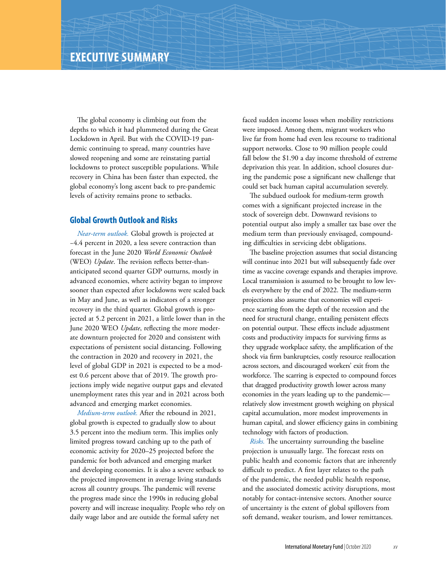The global economy is climbing out from the depths to which it had plummeted during the Great Lockdown in April. But with the COVID-19 pandemic continuing to spread, many countries have slowed reopening and some are reinstating partial lockdowns to protect susceptible populations. While recovery in China has been faster than expected, the global economy's long ascent back to pre-pandemic levels of activity remains prone to setbacks.

## **Global Growth Outlook and Risks**

*Near-term outlook.* Global growth is projected at −4.4 percent in 2020, a less severe contraction than forecast in the June 2020 *World Economic Outlook* (WEO) *Update*. The revision reflects better-thananticipated second quarter GDP outturns, mostly in advanced economies, where activity began to improve sooner than expected after lockdowns were scaled back in May and June, as well as indicators of a stronger recovery in the third quarter. Global growth is projected at 5.2 percent in 2021, a little lower than in the June 2020 WEO *Update*, reflecting the more moderate downturn projected for 2020 and consistent with expectations of persistent social distancing. Following the contraction in 2020 and recovery in 2021, the level of global GDP in 2021 is expected to be a modest 0.6 percent above that of 2019. The growth projections imply wide negative output gaps and elevated unemployment rates this year and in 2021 across both advanced and emerging market economies.

*Medium-term outlook.* After the rebound in 2021, global growth is expected to gradually slow to about 3.5 percent into the medium term. This implies only limited progress toward catching up to the path of economic activity for 2020–25 projected before the pandemic for both advanced and emerging market and developing economies. It is also a severe setback to the projected improvement in average living standards across all country groups. The pandemic will reverse the progress made since the 1990s in reducing global poverty and will increase inequality. People who rely on daily wage labor and are outside the formal safety net

faced sudden income losses when mobility restrictions were imposed. Among them, migrant workers who live far from home had even less recourse to traditional support networks. Close to 90 million people could fall below the \$1.90 a day income threshold of extreme deprivation this year. In addition, school closures during the pandemic pose a significant new challenge that could set back human capital accumulation severely.

The subdued outlook for medium-term growth comes with a significant projected increase in the stock of sovereign debt. Downward revisions to potential output also imply a smaller tax base over the medium term than previously envisaged, compounding difficulties in servicing debt obligations.

The baseline projection assumes that social distancing will continue into 2021 but will subsequently fade over time as vaccine coverage expands and therapies improve. Local transmission is assumed to be brought to low levels everywhere by the end of 2022. The medium-term projections also assume that economies will experience scarring from the depth of the recession and the need for structural change, entailing persistent effects on potential output. These effects include adjustment costs and productivity impacts for surviving firms as they upgrade workplace safety, the amplification of the shock via firm bankruptcies, costly resource reallocation across sectors, and discouraged workers' exit from the workforce. The scarring is expected to compound forces that dragged productivity growth lower across many economies in the years leading up to the pandemic relatively slow investment growth weighing on physical capital accumulation, more modest improvements in human capital, and slower efficiency gains in combining technology with factors of production.

*Risks.* The uncertainty surrounding the baseline projection is unusually large. The forecast rests on public health and economic factors that are inherently difficult to predict. A first layer relates to the path of the pandemic, the needed public health response, and the associated domestic activity disruptions, most notably for contact-intensive sectors. Another source of uncertainty is the extent of global spillovers from soft demand, weaker tourism, and lower remittances.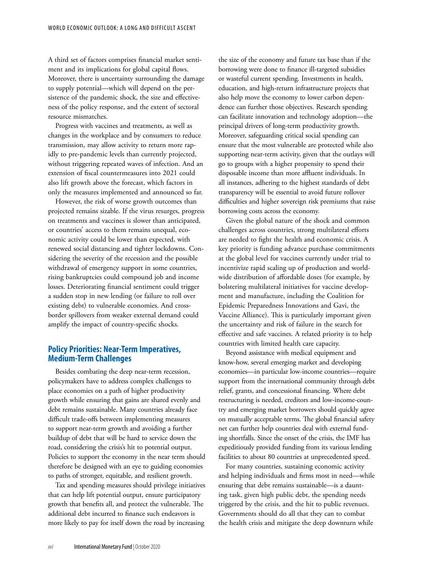A third set of factors comprises financial market sentiment and its implications for global capital flows. Moreover, there is uncertainty surrounding the damage to supply potential—which will depend on the persistence of the pandemic shock, the size and effectiveness of the policy response, and the extent of sectoral resource mismatches.

Progress with vaccines and treatments, as well as changes in the workplace and by consumers to reduce transmission, may allow activity to return more rapidly to pre-pandemic levels than currently projected, without triggering repeated waves of infection. And an extension of fiscal countermeasures into 2021 could also lift growth above the forecast, which factors in only the measures implemented and announced so far.

However, the risk of worse growth outcomes than projected remains sizable. If the virus resurges, progress on treatments and vaccines is slower than anticipated, or countries' access to them remains unequal, economic activity could be lower than expected, with renewed social distancing and tighter lockdowns. Considering the severity of the recession and the possible withdrawal of emergency support in some countries, rising bankruptcies could compound job and income losses. Deteriorating financial sentiment could trigger a sudden stop in new lending (or failure to roll over existing debt) to vulnerable economies. And crossborder spillovers from weaker external demand could amplify the impact of country-specific shocks.

## **Policy Priorities: Near-Term Imperatives, Medium-Term Challenges**

Besides combating the deep near-term recession, policymakers have to address complex challenges to place economies on a path of higher productivity growth while ensuring that gains are shared evenly and debt remains sustainable. Many countries already face difficult trade-offs between implementing measures to support near-term growth and avoiding a further buildup of debt that will be hard to service down the road, considering the crisis's hit to potential output. Policies to support the economy in the near term should therefore be designed with an eye to guiding economies to paths of stronger, equitable, and resilient growth.

Tax and spending measures should privilege initiatives that can help lift potential output, ensure participatory growth that benefits all, and protect the vulnerable. The additional debt incurred to finance such endeavors is more likely to pay for itself down the road by increasing

the size of the economy and future tax base than if the borrowing were done to finance ill-targeted subsidies or wasteful current spending. Investments in health, education, and high-return infrastructure projects that also help move the economy to lower carbon dependence can further those objectives. Research spending can facilitate innovation and technology adoption—the principal drivers of long-term productivity growth. Moreover, safeguarding critical social spending can ensure that the most vulnerable are protected while also supporting near-term activity, given that the outlays will go to groups with a higher propensity to spend their disposable income than more affluent individuals. In all instances, adhering to the highest standards of debt transparency will be essential to avoid future rollover difficulties and higher sovereign risk premiums that raise borrowing costs across the economy.

Given the global nature of the shock and common challenges across countries, strong multilateral efforts are needed to fight the health and economic crisis. A key priority is funding advance purchase commitments at the global level for vaccines currently under trial to incentivize rapid scaling up of production and worldwide distribution of affordable doses (for example, by bolstering multilateral initiatives for vaccine development and manufacture, including the Coalition for Epidemic Preparedness Innovations and Gavi, the Vaccine Alliance). This is particularly important given the uncertainty and risk of failure in the search for effective and safe vaccines. A related priority is to help countries with limited health care capacity.

Beyond assistance with medical equipment and know-how, several emerging market and developing economies—in particular low-income countries—require support from the international community through debt relief, grants, and concessional financing. Where debt restructuring is needed, creditors and low-income-country and emerging market borrowers should quickly agree on mutually acceptable terms. The global financial safety net can further help countries deal with external funding shortfalls. Since the onset of the crisis, the IMF has expeditiously provided funding from its various lending facilities to about 80 countries at unprecedented speed.

For many countries, sustaining economic activity and helping individuals and firms most in need—while ensuring that debt remains sustainable—is a daunting task, given high public debt, the spending needs triggered by the crisis, and the hit to public revenues. Governments should do all that they can to combat the health crisis and mitigate the deep downturn while